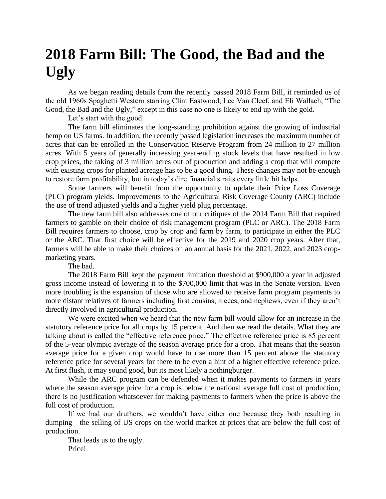## **2018 Farm Bill: The Good, the Bad and the Ugly**

As we began reading details from the recently passed 2018 Farm Bill, it reminded us of the old 1960s Spaghetti Western starring Clint Eastwood, Lee Van Cleef, and Eli Wallach, "The Good, the Bad and the Ugly," except in this case no one is likely to end up with the gold.

Let's start with the good.

The farm bill eliminates the long-standing prohibition against the growing of industrial hemp on US farms. In addition, the recently passed legislation increases the maximum number of acres that can be enrolled in the Conservation Reserve Program from 24 million to 27 million acres. With 5 years of generally increasing year-ending stock levels that have resulted in low crop prices, the taking of 3 million acres out of production and adding a crop that will compete with existing crops for planted acreage has to be a good thing. These changes may not be enough to restore farm profitability, but in today's dire financial straits every little bit helps.

Some farmers will benefit from the opportunity to update their Price Loss Coverage (PLC) program yields. Improvements to the Agricultural Risk Coverage County (ARC) include the use of trend adjusted yields and a higher yield plug percentage.

The new farm bill also addresses one of our critiques of the 2014 Farm Bill that required farmers to gamble on their choice of risk management program (PLC or ARC). The 2018 Farm Bill requires farmers to choose, crop by crop and farm by farm, to participate in either the PLC or the ARC. That first choice will be effective for the 2019 and 2020 crop years. After that, farmers will be able to make their choices on an annual basis for the 2021, 2022, and 2023 cropmarketing years.

The bad.

The 2018 Farm Bill kept the payment limitation threshold at \$900,000 a year in adjusted gross income instead of lowering it to the \$700,000 limit that was in the Senate version. Even more troubling is the expansion of those who are allowed to receive farm program payments to more distant relatives of farmers including first cousins, nieces, and nephews, even if they aren't directly involved in agricultural production.

We were excited when we heard that the new farm bill would allow for an increase in the statutory reference price for all crops by 15 percent. And then we read the details. What they are talking about is called the "effective reference price." The effective reference price is 85 percent of the 5-year olympic average of the season average price for a crop. That means that the season average price for a given crop would have to rise more than 15 percent above the statutory reference price for several years for there to be even a hint of a higher effective reference price. At first flush, it may sound good, but its most likely a nothingburger.

While the ARC program can be defended when it makes payments to farmers in years where the season average price for a crop is below the national average full cost of production, there is no justification whatsoever for making payments to farmers when the price is above the full cost of production.

If we had our druthers, we wouldn't have either one because they both resulting in dumping—the selling of US crops on the world market at prices that are below the full cost of production.

That leads us to the ugly. Price!